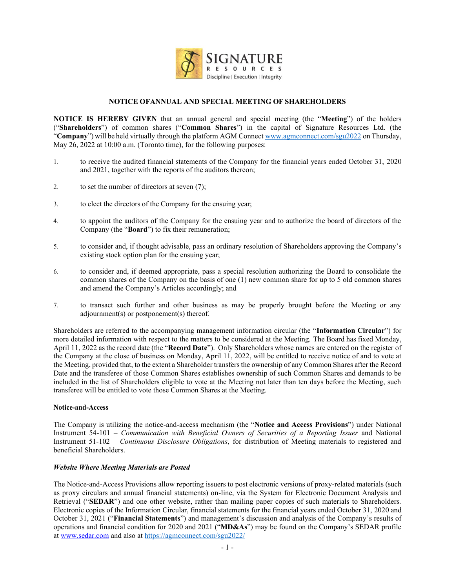

# **NOTICE OFANNUAL AND SPECIAL MEETING OF SHAREHOLDERS**

**NOTICE IS HEREBY GIVEN** that an annual general and special meeting (the "Meeting") of the holders (³**Shareholders**´) of common shares (³**Common Shares**´) in the capital of Signature Resources Ltd. (the ³**Company**´) will be held virtually through the platform AGM Connect [www.agmconnect.com/sgu2022](http://www.agmconnect.com/sgu2022) on Thursday, May  $26$ , 2022 at 10:00 a.m. (Toronto time), for the following purposes:

- 1. to receive the audited financial statements of the Company for the financial years ended October 31, 2020 and 2021, together with the reports of the auditors thereon;
- 2. to set the number of directors at seven (7);
- 3. to elect the directors of the Company for the ensuing year;
- 4. to appoint the auditors of the Company for the ensuing year and to authorize the board of directors of the Company (the "**Board**") to fix their remuneration;
- 5. to consider and, if thought advisable, pass an ordinary resolution of Shareholders approving the Company's existing stock option plan for the ensuing year;
- 6. to consider and, if deemed appropriate, pass a special resolution authorizing the Board to consolidate the common shares of the Company on the basis of one (1) new common share for up to 5 old common shares and amend the Company's Articles accordingly; and
- 7. to transact such further and other business as may be properly brought before the Meeting or any adjournment(s) or postponement(s) thereof.

Shareholders are referred to the accompanying management information circular (the "Information Circular") for more detailed information with respect to the matters to be considered at the Meeting. The Board has fixed Monday, April 11, 2022 as the record date (the "**Record Date**"). Only Shareholders whose names are entered on the register of the Company at the close of business on Monday, April 11, 2022, will be entitled to receive notice of and to vote at the Meeting, provided that, to the extent a Shareholder transfers the ownership of any Common Shares after the Record Date and the transferee of those Common Shares establishes ownership of such Common Shares and demands to be included in the list of Shareholders eligible to vote at the Meeting not later than ten days before the Meeting, such transferee will be entitled to vote those Common Shares at the Meeting.

#### **Notice-and-Access**

The Company is utilizing the notice-and-access mechanism (the "Notice and Access Provisions") under National Instrument 54-101 – *Communication with Beneficial Owners of Securities of a Reporting Issuer* and National Instrument 51-102 – *Continuous Disclosure Obligations*, for distribution of Meeting materials to registered and beneficial Shareholders.

### *Website Where Meeting Materials are Posted*

The Notice-and-Access Provisions allow reporting issuers to post electronic versions of proxy-related materials (such as proxy circulars and annual financial statements) on-line, via the System for Electronic Document Analysis and Retrieval ("SEDAR") and one other website, rather than mailing paper copies of such materials to Shareholders. Electronic copies of the Information Circular, financial statements for the financial years ended October 31, 2020 and October 31, 2021 ("Financial Statements") and management's discussion and analysis of the Company's results of operations and financial condition for 2020 and 2021 ("**MD&As**") may be found on the Company's SEDAR profile a[t www.sedar.com](http://www.sedar.com/) and also at <https://agmconnect.com/sgu2022/>